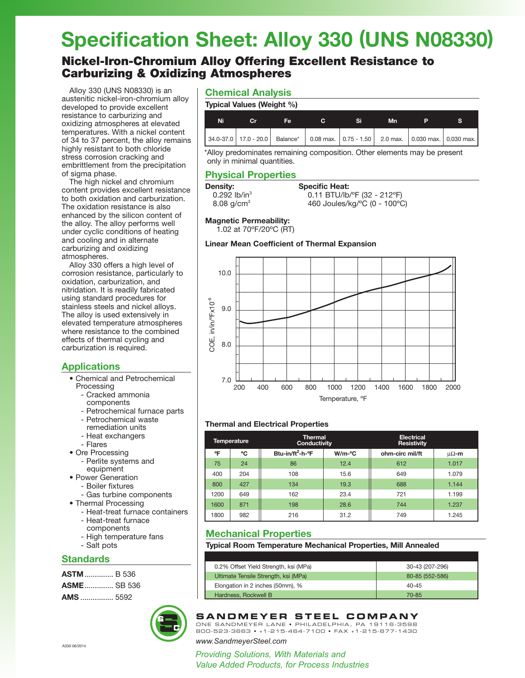# **Specification Sheet: Alloy 330 (UNS N08330)**

# Nickel-Iron-Chromium Alloy Offering Excellent Resistance to Carburizing & Oxidizing Atmospheres

Alloy 330 (UNS N08330) is an austenitic nickel-iron-chromium alloy developed to provide excellent resistance to carburizing and oxidizing atmospheres at elevated temperatures. With a nickel content of 34 to 37 percent, the alloy remains highly resistant to both chloride stress corrosion cracking and embrittlement from the precipitation of sigma phase.

The high nickel and chromium content provides excellent resistance to both oxidation and carburization. The oxidation resistance is also enhanced by the silicon content of the alloy. The alloy performs well under cyclic conditions of heating and cooling and in alternate carburizing and oxidizing atmospheres.

Alloy 330 offers a high level of corrosion resistance, particularly to oxidation, carburization, and nitridation. It is readily fabricated using standard procedures for stainless steels and nickel alloys. The alloy is used extensively in elevated temperature atmospheres where resistance to the combined effects of thermal cycling and carburization is required.

### **Applications**

- Chemical and Petrochemical Processing
	- Cracked ammonia components
	- Petrochemical furnace parts
	- Petrochemical waste
	- remediation units
	- Heat exchangers
	- Flares
- Ore Processing
	- Perlite systems and equipment
- Power Generation
	- Boiler fixtures
	- Gas turbine components
- Thermal Processing
	- Heat-treat furnace containers
	- Heat-treat furnace components
	- High temperature fans
	- Salt pots

### **Standards**

**ASTM**.............. B 536 **ASME**.............. SB 536 **AMS** ................ 5592



### **Chemical Analysis**

|  | Typical Values (Weight %) |  |
|--|---------------------------|--|
|  |                           |  |

| Ni | Cr. | Fe |  | Mn |                                                                                                   |
|----|-----|----|--|----|---------------------------------------------------------------------------------------------------|
|    |     |    |  |    | 34.0-37.0   17.0 - 20.0   Balance*   0.08 max.   0.75 - 1.50   2.0 max.   0.030 max.   0.030 max. |

\*Alloy predominates remaining composition. Other elements may be present only in minimal quantities.

### **Physical Properties**

### **Density:**

| ensitv:                  | <b>Specific Heat:</b>                             |
|--------------------------|---------------------------------------------------|
| 0.292 $lb/in^3$          | $0.11$ BTU/lb/ $\degree$ F (32 - 212 $\degree$ F) |
| $8.08$ a/cm <sup>3</sup> | 460 Joules/kg/°C (0 - 100°)                       |

8.08 g/cm3 460 Joules/kg/ºC (0 - 100ºC)

### **Magnetic Permeability:**

1.02 at 70ºF/20ºC (RT)

### **Linear Mean Coefficient of Thermal Expansion**



### **Thermal and Electrical Properties**

| <b>Thermal</b><br><b>Temperature</b><br>Conductivity |     |                              | <b>Electrical</b><br><b>Resistivity</b> |                 |       |
|------------------------------------------------------|-----|------------------------------|-----------------------------------------|-----------------|-------|
| °F                                                   | °C  | Btu-in/ft <sup>2</sup> -h-°F | $W/m$ - $C$                             | ohm-circ mil/ft | μΩ-m  |
| 75                                                   | 24  | 86                           | 12.4                                    | 612             | 1.017 |
| 400                                                  | 204 | 108                          | 15.6                                    | 649             | 1.079 |
| 800                                                  | 427 | 134                          | 19.3                                    | 688             | 1.144 |
| 1200                                                 | 649 | 162                          | 23.4                                    | 721             | 1.199 |
| 1600                                                 | 871 | 198                          | 28.6                                    | 744             | 1.237 |
| 1800                                                 | 982 | 216                          | 31.2                                    | 749             | 1.245 |

# **Mechanical Properties**

**Typical Room Temperature Mechanical Properties, Mill Annealed**

| 0.2% Offset Yield Strength, ksi (MPa) | 30-43 (207-296) |
|---------------------------------------|-----------------|
| Ultimate Tensile Strength, ksi (MPa)  | 80-85 (552-586) |
| Elongation in 2 inches (50mm), %      | $40 - 45$       |
| Hardness, Rockwell B                  | 70-85           |



## **SANDMEYER STEEL COMPANY**

ONE SANDMEYER LANE • PHILADELPHIA, PA 19116-3598 800-523-3663 • +1-215-464-7100 • FAX +1-215-677-1430

*www.SandmeyerSteel.com*

*Providing Solutions, With Materials and Value Added Products, for Process Industries*